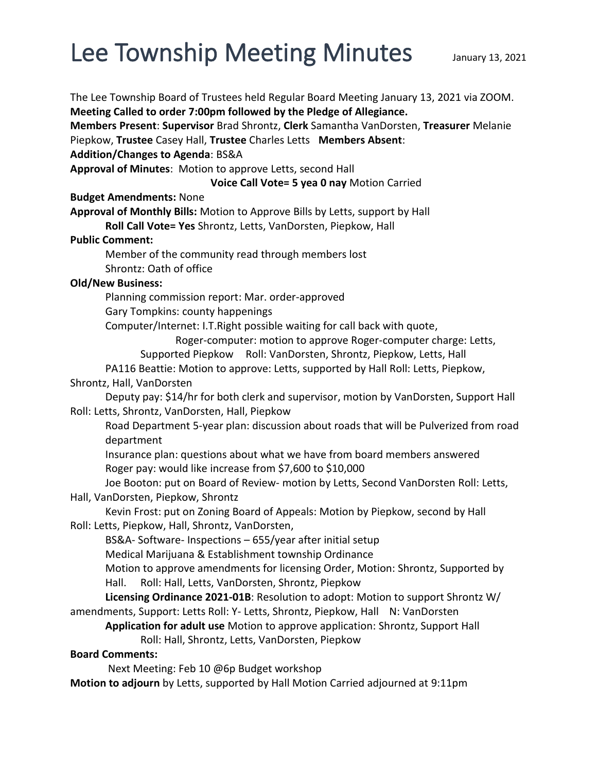## Lee Township Meeting Minutes January 13, 2021

The Lee Township Board of Trustees held Regular Board Meeting January 13, 2021 via ZOOM. **Meeting Called to order 7:00pm followed by the Pledge of Allegiance. Members Present**: **Supervisor** Brad Shrontz, **Clerk** Samantha VanDorsten, **Treasurer** Melanie Piepkow, **Trustee** Casey Hall, **Trustee** Charles Letts **Members Absent**: **Addition/Changes to Agenda**: BS&A **Approval of Minutes**: Motion to approve Letts, second Hall **Voice Call Vote= 5 yea 0 nay** Motion Carried **Budget Amendments:** None **Approval of Monthly Bills:** Motion to Approve Bills by Letts, support by Hall **Roll Call Vote= Yes** Shrontz, Letts, VanDorsten, Piepkow, Hall **Public Comment:**  Member of the community read through members lost Shrontz: Oath of office **Old/New Business:**  Planning commission report: Mar. order-approved Gary Tompkins: county happenings Computer/Internet: I.T.Right possible waiting for call back with quote, Roger-computer: motion to approve Roger-computer charge: Letts, Supported Piepkow Roll: VanDorsten, Shrontz, Piepkow, Letts, Hall PA116 Beattie: Motion to approve: Letts, supported by Hall Roll: Letts, Piepkow, Shrontz, Hall, VanDorsten Deputy pay: \$14/hr for both clerk and supervisor, motion by VanDorsten, Support Hall Roll: Letts, Shrontz, VanDorsten, Hall, Piepkow Road Department 5-year plan: discussion about roads that will be Pulverized from road department Insurance plan: questions about what we have from board members answered Roger pay: would like increase from \$7,600 to \$10,000 Joe Booton: put on Board of Review- motion by Letts, Second VanDorsten Roll: Letts, Hall, VanDorsten, Piepkow, Shrontz Kevin Frost: put on Zoning Board of Appeals: Motion by Piepkow, second by Hall Roll: Letts, Piepkow, Hall, Shrontz, VanDorsten, BS&A- Software- Inspections – 655/year after initial setup Medical Marijuana & Establishment township Ordinance Motion to approve amendments for licensing Order, Motion: Shrontz, Supported by Hall. Roll: Hall, Letts, VanDorsten, Shrontz, Piepkow **Licensing Ordinance 2021-01B**: Resolution to adopt: Motion to support Shrontz W/ amendments, Support: Letts Roll: Y- Letts, Shrontz, Piepkow, Hall N: VanDorsten **Application for adult use** Motion to approve application: Shrontz, Support Hall Roll: Hall, Shrontz, Letts, VanDorsten, Piepkow **Board Comments:**  Next Meeting: Feb 10 @6p Budget workshop **Motion to adjourn** by Letts, supported by Hall Motion Carried adjourned at 9:11pm